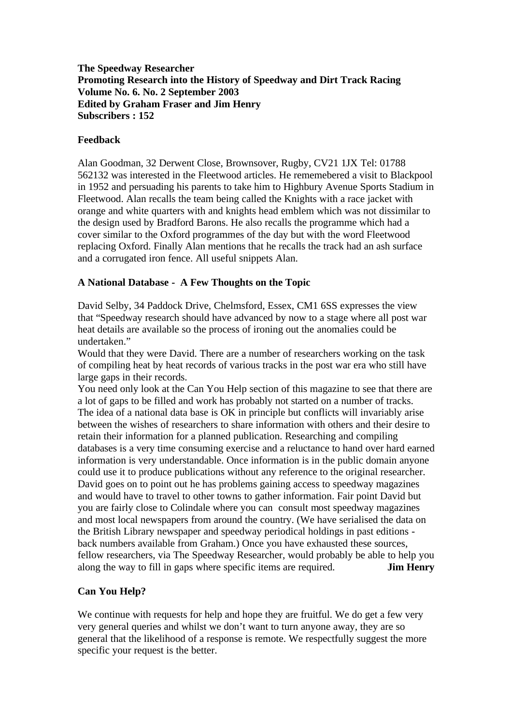**The Speedway Researcher Promoting Research into the History of Speedway and Dirt Track Racing Volume No. 6. No. 2 September 2003 Edited by Graham Fraser and Jim Henry Subscribers : 152**

## **Feedback**

Alan Goodman, 32 Derwent Close, Brownsover, Rugby, CV21 1JX Tel: 01788 562132 was interested in the Fleetwood articles. He rememebered a visit to Blackpool in 1952 and persuading his parents to take him to Highbury Avenue Sports Stadium in Fleetwood. Alan recalls the team being called the Knights with a race jacket with orange and white quarters with and knights head emblem which was not dissimilar to the design used by Bradford Barons. He also recalls the programme which had a cover similar to the Oxford programmes of the day but with the word Fleetwood replacing Oxford. Finally Alan mentions that he recalls the track had an ash surface and a corrugated iron fence. All useful snippets Alan.

## **A National Database - A Few Thoughts on the Topic**

David Selby, 34 Paddock Drive, Chelmsford, Essex, CM1 6SS expresses the view that "Speedway research should have advanced by now to a stage where all post war heat details are available so the process of ironing out the anomalies could be undertaken."

Would that they were David. There are a number of researchers working on the task of compiling heat by heat records of various tracks in the post war era who still have large gaps in their records.

You need only look at the Can You Help section of this magazine to see that there are a lot of gaps to be filled and work has probably not started on a number of tracks. The idea of a national data base is OK in principle but conflicts will invariably arise between the wishes of researchers to share information with others and their desire to retain their information for a planned publication. Researching and compiling databases is a very time consuming exercise and a reluctance to hand over hard earned information is very understandable. Once information is in the public domain anyone could use it to produce publications without any reference to the original researcher. David goes on to point out he has problems gaining access to speedway magazines and would have to travel to other towns to gather information. Fair point David but you are fairly close to Colindale where you can consult most speedway magazines and most local newspapers from around the country. (We have serialised the data on the British Library newspaper and speedway periodical holdings in past editions back numbers available from Graham.) Once you have exhausted these sources, fellow researchers, via The Speedway Researcher, would probably be able to help you along the way to fill in gaps where specific items are required. **Jim Henry** 

# **Can You Help?**

We continue with requests for help and hope they are fruitful. We do get a few very very general queries and whilst we don't want to turn anyone away, they are so general that the likelihood of a response is remote. We respectfully suggest the more specific your request is the better.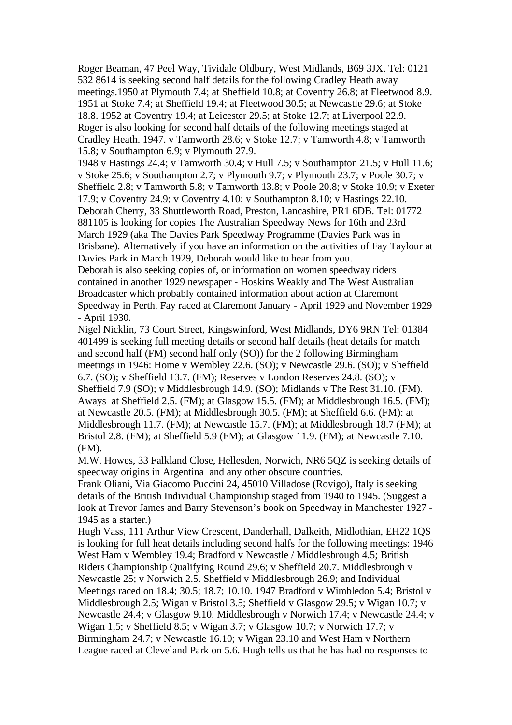Roger Beaman, 47 Peel Way, Tividale Oldbury, West Midlands, B69 3JX. Tel: 0121 532 8614 is seeking second half details for the following Cradley Heath away meetings.1950 at Plymouth 7.4; at Sheffield 10.8; at Coventry 26.8; at Fleetwood 8.9. 1951 at Stoke 7.4; at Sheffield 19.4; at Fleetwood 30.5; at Newcastle 29.6; at Stoke 18.8. 1952 at Coventry 19.4; at Leicester 29.5; at Stoke 12.7; at Liverpool 22.9. Roger is also looking for second half details of the following meetings staged at Cradley Heath. 1947. v Tamworth 28.6; v Stoke 12.7; v Tamworth 4.8; v Tamworth 15.8; v Southampton 6.9; v Plymouth 27.9.

1948 v Hastings 24.4; v Tamworth 30.4; v Hull 7.5; v Southampton 21.5; v Hull 11.6; v Stoke 25.6; v Southampton 2.7; v Plymouth 9.7; v Plymouth 23.7; v Poole 30.7; v Sheffield 2.8; v Tamworth 5.8; v Tamworth 13.8; v Poole 20.8; v Stoke 10.9; v Exeter 17.9; v Coventry 24.9; v Coventry 4.10; v Southampton 8.10; v Hastings 22.10. Deborah Cherry, 33 Shuttleworth Road, Preston, Lancashire, PR1 6DB. Tel: 01772 881105 is looking for copies The Australian Speedway News for 16th and 23rd March 1929 (aka The Davies Park Speedway Programme (Davies Park was in Brisbane). Alternatively if you have an information on the activities of Fay Taylour at Davies Park in March 1929, Deborah would like to hear from you.

Deborah is also seeking copies of, or information on women speedway riders contained in another 1929 newspaper - Hoskins Weakly and The West Australian Broadcaster which probably contained information about action at Claremont Speedway in Perth. Fay raced at Claremont January - April 1929 and November 1929 - April 1930.

Nigel Nicklin, 73 Court Street, Kingswinford, West Midlands, DY6 9RN Tel: 01384 401499 is seeking full meeting details or second half details (heat details for match and second half (FM) second half only (SO)) for the 2 following Birmingham meetings in 1946: Home v Wembley 22.6. (SO); v Newcastle 29.6. (SO); v Sheffield 6.7. (SO); v Sheffield 13.7. (FM); Reserves v London Reserves 24.8. (SO); v Sheffield 7.9 (SO); v Middlesbrough 14.9. (SO); Midlands v The Rest 31.10. (FM). Aways at Sheffield 2.5. (FM); at Glasgow 15.5. (FM); at Middlesbrough 16.5. (FM); at Newcastle 20.5. (FM); at Middlesbrough 30.5. (FM); at Sheffield 6.6. (FM): at Middlesbrough 11.7. (FM); at Newcastle 15.7. (FM); at Middlesbrough 18.7 (FM); at Bristol 2.8. (FM); at Sheffield 5.9 (FM); at Glasgow 11.9. (FM); at Newcastle 7.10. (FM).

M.W. Howes, 33 Falkland Close, Hellesden, Norwich, NR6 5QZ is seeking details of speedway origins in Argentina and any other obscure countries.

Frank Oliani, Via Giacomo Puccini 24, 45010 Villadose (Rovigo), Italy is seeking details of the British Individual Championship staged from 1940 to 1945. (Suggest a look at Trevor James and Barry Stevenson's book on Speedway in Manchester 1927 - 1945 as a starter.)

Hugh Vass, 111 Arthur View Crescent, Danderhall, Dalkeith, Midlothian, EH22 1QS is looking for full heat details including second halfs for the following meetings: 1946 West Ham v Wembley 19.4; Bradford v Newcastle / Middlesbrough 4.5; British Riders Championship Qualifying Round 29.6; v Sheffield 20.7. Middlesbrough v Newcastle 25; v Norwich 2.5. Sheffield v Middlesbrough 26.9; and Individual Meetings raced on 18.4; 30.5; 18.7; 10.10. 1947 Bradford v Wimbledon 5.4; Bristol v Middlesbrough 2.5; Wigan v Bristol 3.5; Sheffield v Glasgow 29.5; v Wigan 10.7; v Newcastle 24.4; v Glasgow 9.10. Middlesbrough v Norwich 17.4; v Newcastle 24.4; v Wigan 1,5; v Sheffield 8.5; v Wigan 3.7; v Glasgow 10.7; v Norwich 17.7; v Birmingham 24.7; v Newcastle 16.10; v Wigan 23.10 and West Ham v Northern League raced at Cleveland Park on 5.6. Hugh tells us that he has had no responses to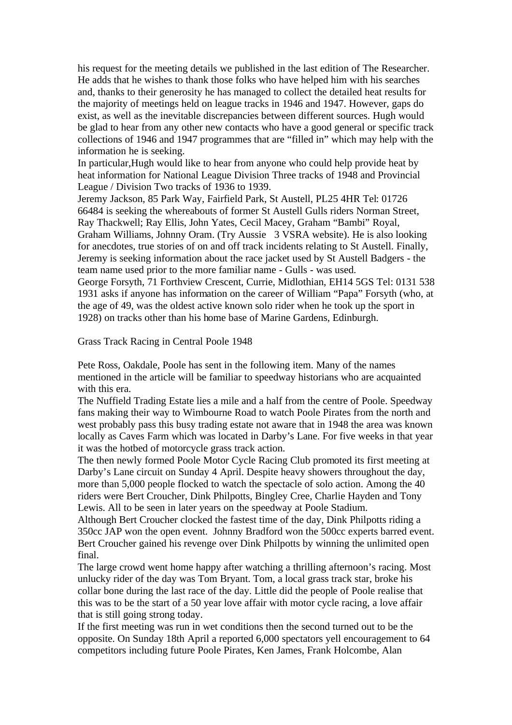his request for the meeting details we published in the last edition of The Researcher. He adds that he wishes to thank those folks who have helped him with his searches and, thanks to their generosity he has managed to collect the detailed heat results for the majority of meetings held on league tracks in 1946 and 1947. However, gaps do exist, as well as the inevitable discrepancies between different sources. Hugh would be glad to hear from any other new contacts who have a good general or specific track collections of 1946 and 1947 programmes that are "filled in" which may help with the information he is seeking.

In particular,Hugh would like to hear from anyone who could help provide heat by heat information for National League Division Three tracks of 1948 and Provincial League / Division Two tracks of 1936 to 1939.

Jeremy Jackson, 85 Park Way, Fairfield Park, St Austell, PL25 4HR Tel: 01726 66484 is seeking the whereabouts of former St Austell Gulls riders Norman Street, Ray Thackwell; Ray Ellis, John Yates, Cecil Macey, Graham "Bambi" Royal, Graham Williams, Johnny Oram. (Try Aussie 3 VSRA website). He is also looking for anecdotes, true stories of on and off track incidents relating to St Austell. Finally, Jeremy is seeking information about the race jacket used by St Austell Badgers - the team name used prior to the more familiar name - Gulls - was used. George Forsyth, 71 Forthview Crescent, Currie, Midlothian, EH14 5GS Tel: 0131 538 1931 asks if anyone has information on the career of William "Papa" Forsyth (who, at the age of 49, was the oldest active known solo rider when he took up the sport in 1928) on tracks other than his home base of Marine Gardens, Edinburgh.

Grass Track Racing in Central Poole 1948

Pete Ross, Oakdale, Poole has sent in the following item. Many of the names mentioned in the article will be familiar to speedway historians who are acquainted with this era.

The Nuffield Trading Estate lies a mile and a half from the centre of Poole. Speedway fans making their way to Wimbourne Road to watch Poole Pirates from the north and west probably pass this busy trading estate not aware that in 1948 the area was known locally as Caves Farm which was located in Darby's Lane. For five weeks in that year it was the hotbed of motorcycle grass track action.

The then newly formed Poole Motor Cycle Racing Club promoted its first meeting at Darby's Lane circuit on Sunday 4 April. Despite heavy showers throughout the day, more than 5,000 people flocked to watch the spectacle of solo action. Among the 40 riders were Bert Croucher, Dink Philpotts, Bingley Cree, Charlie Hayden and Tony Lewis. All to be seen in later years on the speedway at Poole Stadium.

Although Bert Croucher clocked the fastest time of the day, Dink Philpotts riding a 350cc JAP won the open event. Johnny Bradford won the 500cc experts barred event. Bert Croucher gained his revenge over Dink Philpotts by winning the unlimited open final.

The large crowd went home happy after watching a thrilling afternoon's racing. Most unlucky rider of the day was Tom Bryant. Tom, a local grass track star, broke his collar bone during the last race of the day. Little did the people of Poole realise that this was to be the start of a 50 year love affair with motor cycle racing, a love affair that is still going strong today.

If the first meeting was run in wet conditions then the second turned out to be the opposite. On Sunday 18th April a reported 6,000 spectators yell encouragement to 64 competitors including future Poole Pirates, Ken James, Frank Holcombe, Alan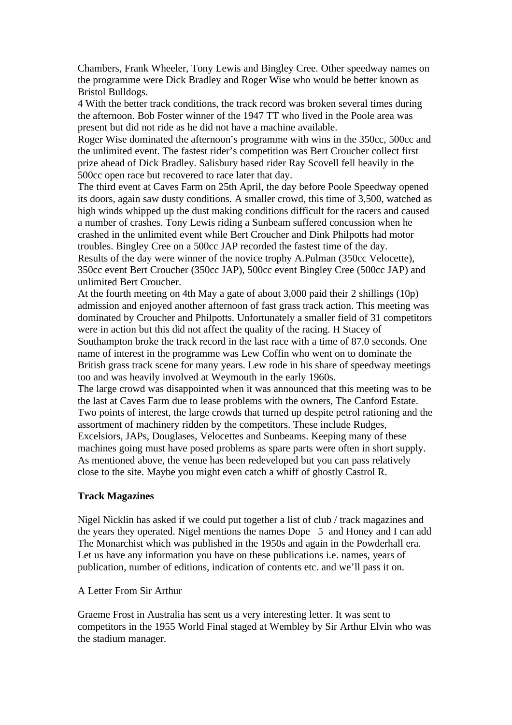Chambers, Frank Wheeler, Tony Lewis and Bingley Cree. Other speedway names on the programme were Dick Bradley and Roger Wise who would be better known as Bristol Bulldogs.

4 With the better track conditions, the track record was broken several times during the afternoon. Bob Foster winner of the 1947 TT who lived in the Poole area was present but did not ride as he did not have a machine available.

Roger Wise dominated the afternoon's programme with wins in the 350cc, 500cc and the unlimited event. The fastest rider's competition was Bert Croucher collect first prize ahead of Dick Bradley. Salisbury based rider Ray Scovell fell heavily in the 500cc open race but recovered to race later that day.

The third event at Caves Farm on 25th April, the day before Poole Speedway opened its doors, again saw dusty conditions. A smaller crowd, this time of 3,500, watched as high winds whipped up the dust making conditions difficult for the racers and caused a number of crashes. Tony Lewis riding a Sunbeam suffered concussion when he crashed in the unlimited event while Bert Croucher and Dink Philpotts had motor troubles. Bingley Cree on a 500cc JAP recorded the fastest time of the day. Results of the day were winner of the novice trophy A.Pulman (350cc Velocette), 350cc event Bert Croucher (350cc JAP), 500cc event Bingley Cree (500cc JAP) and

unlimited Bert Croucher.

At the fourth meeting on 4th May a gate of about 3,000 paid their 2 shillings (10p) admission and enjoyed another afternoon of fast grass track action. This meeting was dominated by Croucher and Philpotts. Unfortunately a smaller field of 31 competitors were in action but this did not affect the quality of the racing. H Stacey of Southampton broke the track record in the last race with a time of 87.0 seconds. One name of interest in the programme was Lew Coffin who went on to dominate the British grass track scene for many years. Lew rode in his share of speedway meetings too and was heavily involved at Weymouth in the early 1960s.

The large crowd was disappointed when it was announced that this meeting was to be the last at Caves Farm due to lease problems with the owners, The Canford Estate. Two points of interest, the large crowds that turned up despite petrol rationing and the assortment of machinery ridden by the competitors. These include Rudges, Excelsiors, JAPs, Douglases, Velocettes and Sunbeams. Keeping many of these machines going must have posed problems as spare parts were often in short supply. As mentioned above, the venue has been redeveloped but you can pass relatively close to the site. Maybe you might even catch a whiff of ghostly Castrol R.

## **Track Magazines**

Nigel Nicklin has asked if we could put together a list of club / track magazines and the years they operated. Nigel mentions the names Dope 5 and Honey and I can add The Monarchist which was published in the 1950s and again in the Powderhall era. Let us have any information you have on these publications i.e. names, years of publication, number of editions, indication of contents etc. and we'll pass it on.

## A Letter From Sir Arthur

Graeme Frost in Australia has sent us a very interesting letter. It was sent to competitors in the 1955 World Final staged at Wembley by Sir Arthur Elvin who was the stadium manager.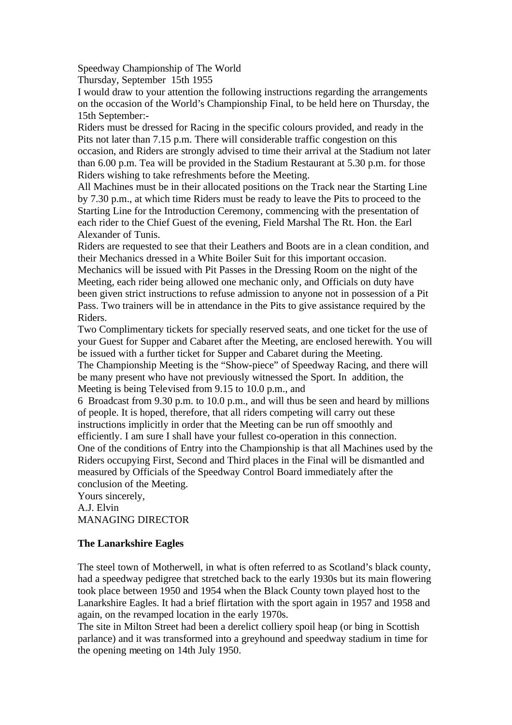Speedway Championship of The World

Thursday, September 15th 1955

I would draw to your attention the following instructions regarding the arrangements on the occasion of the World's Championship Final, to be held here on Thursday, the 15th September:-

Riders must be dressed for Racing in the specific colours provided, and ready in the Pits not later than 7.15 p.m. There will considerable traffic congestion on this occasion, and Riders are strongly advised to time their arrival at the Stadium not later than 6.00 p.m. Tea will be provided in the Stadium Restaurant at 5.30 p.m. for those Riders wishing to take refreshments before the Meeting.

All Machines must be in their allocated positions on the Track near the Starting Line by 7.30 p.m., at which time Riders must be ready to leave the Pits to proceed to the Starting Line for the Introduction Ceremony, commencing with the presentation of each rider to the Chief Guest of the evening, Field Marshal The Rt. Hon. the Earl Alexander of Tunis.

Riders are requested to see that their Leathers and Boots are in a clean condition, and their Mechanics dressed in a White Boiler Suit for this important occasion.

Mechanics will be issued with Pit Passes in the Dressing Room on the night of the Meeting, each rider being allowed one mechanic only, and Officials on duty have been given strict instructions to refuse admission to anyone not in possession of a Pit Pass. Two trainers will be in attendance in the Pits to give assistance required by the Riders.

Two Complimentary tickets for specially reserved seats, and one ticket for the use of your Guest for Supper and Cabaret after the Meeting, are enclosed herewith. You will be issued with a further ticket for Supper and Cabaret during the Meeting.

The Championship Meeting is the "Show-piece" of Speedway Racing, and there will be many present who have not previously witnessed the Sport. In addition, the Meeting is being Televised from 9.15 to 10.0 p.m., and

6 Broadcast from 9.30 p.m. to 10.0 p.m., and will thus be seen and heard by millions of people. It is hoped, therefore, that all riders competing will carry out these instructions implicitly in order that the Meeting can be run off smoothly and efficiently. I am sure I shall have your fullest co-operation in this connection. One of the conditions of Entry into the Championship is that all Machines used by the Riders occupying First, Second and Third places in the Final will be dismantled and measured by Officials of the Speedway Control Board immediately after the conclusion of the Meeting.

Yours sincerely, A.J. Elvin MANAGING DIRECTOR

# **The Lanarkshire Eagles**

The steel town of Motherwell, in what is often referred to as Scotland's black county, had a speedway pedigree that stretched back to the early 1930s but its main flowering took place between 1950 and 1954 when the Black County town played host to the Lanarkshire Eagles. It had a brief flirtation with the sport again in 1957 and 1958 and again, on the revamped location in the early 1970s.

The site in Milton Street had been a derelict colliery spoil heap (or bing in Scottish parlance) and it was transformed into a greyhound and speedway stadium in time for the opening meeting on 14th July 1950.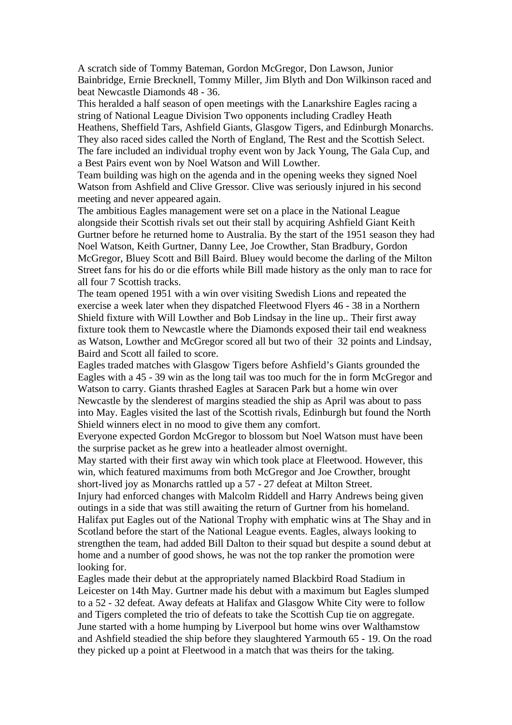A scratch side of Tommy Bateman, Gordon McGregor, Don Lawson, Junior Bainbridge, Ernie Brecknell, Tommy Miller, Jim Blyth and Don Wilkinson raced and beat Newcastle Diamonds 48 - 36.

This heralded a half season of open meetings with the Lanarkshire Eagles racing a string of National League Division Two opponents including Cradley Heath Heathens, Sheffield Tars, Ashfield Giants, Glasgow Tigers, and Edinburgh Monarchs. They also raced sides called the North of England, The Rest and the Scottish Select. The fare included an individual trophy event won by Jack Young, The Gala Cup, and a Best Pairs event won by Noel Watson and Will Lowther.

Team building was high on the agenda and in the opening weeks they signed Noel Watson from Ashfield and Clive Gressor. Clive was seriously injured in his second meeting and never appeared again.

The ambitious Eagles management were set on a place in the National League alongside their Scottish rivals set out their stall by acquiring Ashfield Giant Keith Gurtner before he returned home to Australia. By the start of the 1951 season they had Noel Watson, Keith Gurtner, Danny Lee, Joe Crowther, Stan Bradbury, Gordon McGregor, Bluey Scott and Bill Baird. Bluey would become the darling of the Milton Street fans for his do or die efforts while Bill made history as the only man to race for all four 7 Scottish tracks.

The team opened 1951 with a win over visiting Swedish Lions and repeated the exercise a week later when they dispatched Fleetwood Flyers 46 - 38 in a Northern Shield fixture with Will Lowther and Bob Lindsay in the line up.. Their first away fixture took them to Newcastle where the Diamonds exposed their tail end weakness as Watson, Lowther and McGregor scored all but two of their 32 points and Lindsay, Baird and Scott all failed to score.

Eagles traded matches with Glasgow Tigers before Ashfield's Giants grounded the Eagles with a 45 - 39 win as the long tail was too much for the in form McGregor and Watson to carry. Giants thrashed Eagles at Saracen Park but a home win over Newcastle by the slenderest of margins steadied the ship as April was about to pass into May. Eagles visited the last of the Scottish rivals, Edinburgh but found the North Shield winners elect in no mood to give them any comfort.

Everyone expected Gordon McGregor to blossom but Noel Watson must have been the surprise packet as he grew into a heatleader almost overnight.

May started with their first away win which took place at Fleetwood. However, this win, which featured maximums from both McGregor and Joe Crowther, brought short-lived joy as Monarchs rattled up a 57 - 27 defeat at Milton Street.

Injury had enforced changes with Malcolm Riddell and Harry Andrews being given outings in a side that was still awaiting the return of Gurtner from his homeland. Halifax put Eagles out of the National Trophy with emphatic wins at The Shay and in Scotland before the start of the National League events. Eagles, always looking to strengthen the team, had added Bill Dalton to their squad but despite a sound debut at home and a number of good shows, he was not the top ranker the promotion were looking for.

Eagles made their debut at the appropriately named Blackbird Road Stadium in Leicester on 14th May. Gurtner made his debut with a maximum but Eagles slumped to a 52 - 32 defeat. Away defeats at Halifax and Glasgow White City were to follow and Tigers completed the trio of defeats to take the Scottish Cup tie on aggregate. June started with a home humping by Liverpool but home wins over Walthamstow and Ashfield steadied the ship before they slaughtered Yarmouth 65 - 19. On the road they picked up a point at Fleetwood in a match that was theirs for the taking.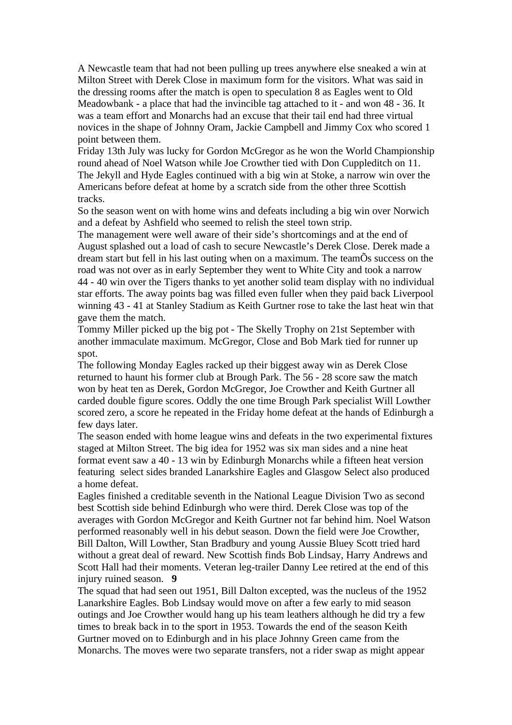A Newcastle team that had not been pulling up trees anywhere else sneaked a win at Milton Street with Derek Close in maximum form for the visitors. What was said in the dressing rooms after the match is open to speculation 8 as Eagles went to Old Meadowbank - a place that had the invincible tag attached to it - and won 48 - 36. It was a team effort and Monarchs had an excuse that their tail end had three virtual novices in the shape of Johnny Oram, Jackie Campbell and Jimmy Cox who scored 1 point between them.

Friday 13th July was lucky for Gordon McGregor as he won the World Championship round ahead of Noel Watson while Joe Crowther tied with Don Cuppleditch on 11. The Jekyll and Hyde Eagles continued with a big win at Stoke, a narrow win over the Americans before defeat at home by a scratch side from the other three Scottish tracks.

So the season went on with home wins and defeats including a big win over Norwich and a defeat by Ashfield who seemed to relish the steel town strip.

The management were well aware of their side's shortcomings and at the end of August splashed out a load of cash to secure Newcastle's Derek Close. Derek made a dream start but fell in his last outing when on a maximum. The teamÕs success on the road was not over as in early September they went to White City and took a narrow 44 - 40 win over the Tigers thanks to yet another solid team display with no individual star efforts. The away points bag was filled even fuller when they paid back Liverpool winning 43 - 41 at Stanley Stadium as Keith Gurtner rose to take the last heat win that gave them the match.

Tommy Miller picked up the big pot - The Skelly Trophy on 21st September with another immaculate maximum. McGregor, Close and Bob Mark tied for runner up spot.

The following Monday Eagles racked up their biggest away win as Derek Close returned to haunt his former club at Brough Park. The 56 - 28 score saw the match won by heat ten as Derek, Gordon McGregor, Joe Crowther and Keith Gurtner all carded double figure scores. Oddly the one time Brough Park specialist Will Lowther scored zero, a score he repeated in the Friday home defeat at the hands of Edinburgh a few days later.

The season ended with home league wins and defeats in the two experimental fixtures staged at Milton Street. The big idea for 1952 was six man sides and a nine heat format event saw a 40 - 13 win by Edinburgh Monarchs while a fifteen heat version featuring select sides branded Lanarkshire Eagles and Glasgow Select also produced a home defeat.

Eagles finished a creditable seventh in the National League Division Two as second best Scottish side behind Edinburgh who were third. Derek Close was top of the averages with Gordon McGregor and Keith Gurtner not far behind him. Noel Watson performed reasonably well in his debut season. Down the field were Joe Crowther, Bill Dalton, Will Lowther, Stan Bradbury and young Aussie Bluey Scott tried hard without a great deal of reward. New Scottish finds Bob Lindsay, Harry Andrews and Scott Hall had their moments. Veteran leg-trailer Danny Lee retired at the end of this injury ruined season. **9**

The squad that had seen out 1951, Bill Dalton excepted, was the nucleus of the 1952 Lanarkshire Eagles. Bob Lindsay would move on after a few early to mid season outings and Joe Crowther would hang up his team leathers although he did try a few times to break back in to the sport in 1953. Towards the end of the season Keith Gurtner moved on to Edinburgh and in his place Johnny Green came from the Monarchs. The moves were two separate transfers, not a rider swap as might appear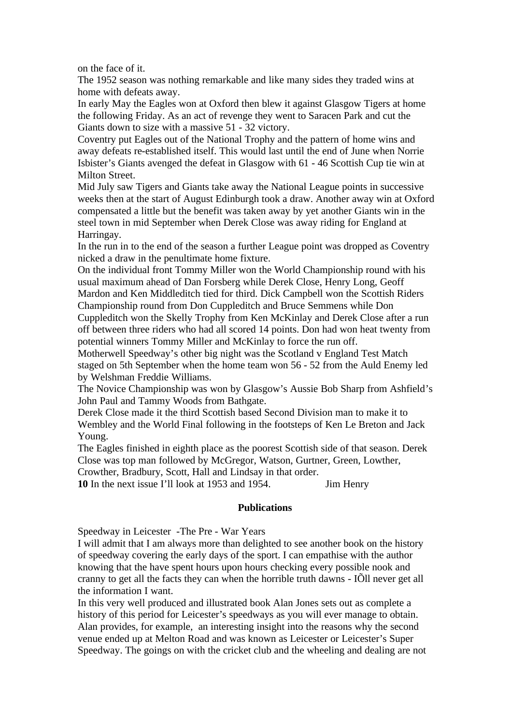on the face of it.

The 1952 season was nothing remarkable and like many sides they traded wins at home with defeats away.

In early May the Eagles won at Oxford then blew it against Glasgow Tigers at home the following Friday. As an act of revenge they went to Saracen Park and cut the Giants down to size with a massive 51 - 32 victory.

Coventry put Eagles out of the National Trophy and the pattern of home wins and away defeats re-established itself. This would last until the end of June when Norrie Isbister's Giants avenged the defeat in Glasgow with 61 - 46 Scottish Cup tie win at Milton Street.

Mid July saw Tigers and Giants take away the National League points in successive weeks then at the start of August Edinburgh took a draw. Another away win at Oxford compensated a little but the benefit was taken away by yet another Giants win in the steel town in mid September when Derek Close was away riding for England at Harringay.

In the run in to the end of the season a further League point was dropped as Coventry nicked a draw in the penultimate home fixture.

On the individual front Tommy Miller won the World Championship round with his usual maximum ahead of Dan Forsberg while Derek Close, Henry Long, Geoff Mardon and Ken Middleditch tied for third. Dick Campbell won the Scottish Riders

Championship round from Don Cuppleditch and Bruce Semmens while Don Cuppleditch won the Skelly Trophy from Ken McKinlay and Derek Close after a run off between three riders who had all scored 14 points. Don had won heat twenty from potential winners Tommy Miller and McKinlay to force the run off.

Motherwell Speedway's other big night was the Scotland v England Test Match staged on 5th September when the home team won 56 - 52 from the Auld Enemy led by Welshman Freddie Williams.

The Novice Championship was won by Glasgow's Aussie Bob Sharp from Ashfield's John Paul and Tammy Woods from Bathgate.

Derek Close made it the third Scottish based Second Division man to make it to Wembley and the World Final following in the footsteps of Ken Le Breton and Jack Young.

The Eagles finished in eighth place as the poorest Scottish side of that season. Derek Close was top man followed by McGregor, Watson, Gurtner, Green, Lowther,

Crowther, Bradbury, Scott, Hall and Lindsay in that order.

**10** In the next issue I'll look at 1953 and 1954. Jim Henry

## **Publications**

Speedway in Leicester -The Pre - War Years

I will admit that I am always more than delighted to see another book on the history of speedway covering the early days of the sport. I can empathise with the author knowing that the have spent hours upon hours checking every possible nook and cranny to get all the facts they can when the horrible truth dawns - IÕll never get all the information I want.

In this very well produced and illustrated book Alan Jones sets out as complete a history of this period for Leicester's speedways as you will ever manage to obtain. Alan provides, for example, an interesting insight into the reasons why the second venue ended up at Melton Road and was known as Leicester or Leicester's Super Speedway. The goings on with the cricket club and the wheeling and dealing are not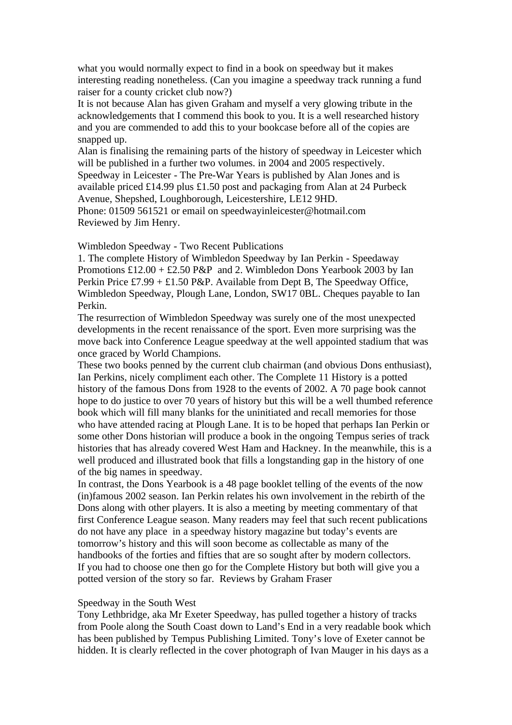what you would normally expect to find in a book on speedway but it makes interesting reading nonetheless. (Can you imagine a speedway track running a fund raiser for a county cricket club now?)

It is not because Alan has given Graham and myself a very glowing tribute in the acknowledgements that I commend this book to you. It is a well researched history and you are commended to add this to your bookcase before all of the copies are snapped up.

Alan is finalising the remaining parts of the history of speedway in Leicester which will be published in a further two volumes. in 2004 and 2005 respectively. Speedway in Leicester - The Pre-War Years is published by Alan Jones and is available priced £14.99 plus £1.50 post and packaging from Alan at 24 Purbeck Avenue, Shepshed, Loughborough, Leicestershire, LE12 9HD.

Phone: 01509 561521 or email on speedwayinleicester@hotmail.com Reviewed by Jim Henry.

Wimbledon Speedway - Two Recent Publications

1. The complete History of Wimbledon Speedway by Ian Perkin - Speedaway Promotions  $£12.00 + £2.50$  P&P and 2. Wimbledon Dons Yearbook 2003 by Ian Perkin Price £7.99 + £1.50 P&P. Available from Dept B, The Speedway Office, Wimbledon Speedway, Plough Lane, London, SW17 0BL. Cheques payable to Ian Perkin.

The resurrection of Wimbledon Speedway was surely one of the most unexpected developments in the recent renaissance of the sport. Even more surprising was the move back into Conference League speedway at the well appointed stadium that was once graced by World Champions.

These two books penned by the current club chairman (and obvious Dons enthusiast), Ian Perkins, nicely compliment each other. The Complete 11 History is a potted history of the famous Dons from 1928 to the events of 2002. A 70 page book cannot hope to do justice to over 70 years of history but this will be a well thumbed reference book which will fill many blanks for the uninitiated and recall memories for those who have attended racing at Plough Lane. It is to be hoped that perhaps Ian Perkin or some other Dons historian will produce a book in the ongoing Tempus series of track histories that has already covered West Ham and Hackney. In the meanwhile, this is a well produced and illustrated book that fills a longstanding gap in the history of one of the big names in speedway.

In contrast, the Dons Yearbook is a 48 page booklet telling of the events of the now (in)famous 2002 season. Ian Perkin relates his own involvement in the rebirth of the Dons along with other players. It is also a meeting by meeting commentary of that first Conference League season. Many readers may feel that such recent publications do not have any place in a speedway history magazine but today's events are tomorrow's history and this will soon become as collectable as many of the handbooks of the forties and fifties that are so sought after by modern collectors. If you had to choose one then go for the Complete History but both will give you a potted version of the story so far. Reviews by Graham Fraser

#### Speedway in the South West

Tony Lethbridge, aka Mr Exeter Speedway, has pulled together a history of tracks from Poole along the South Coast down to Land's End in a very readable book which has been published by Tempus Publishing Limited. Tony's love of Exeter cannot be hidden. It is clearly reflected in the cover photograph of Ivan Mauger in his days as a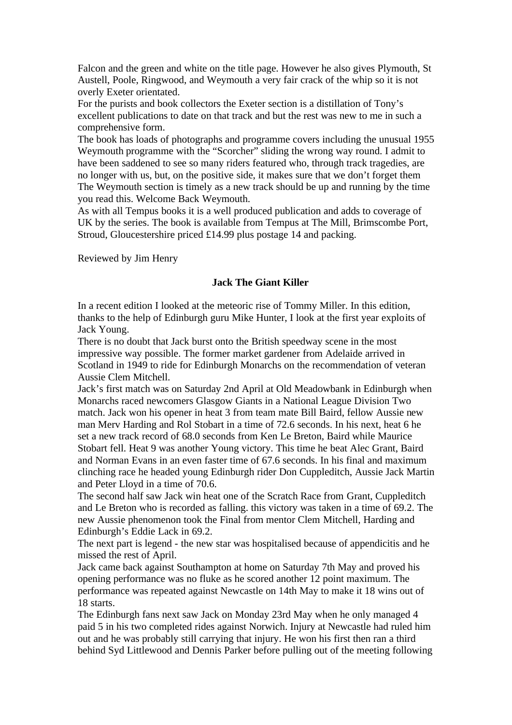Falcon and the green and white on the title page. However he also gives Plymouth, St Austell, Poole, Ringwood, and Weymouth a very fair crack of the whip so it is not overly Exeter orientated.

For the purists and book collectors the Exeter section is a distillation of Tony's excellent publications to date on that track and but the rest was new to me in such a comprehensive form.

The book has loads of photographs and programme covers including the unusual 1955 Weymouth programme with the "Scorcher" sliding the wrong way round. I admit to have been saddened to see so many riders featured who, through track tragedies, are no longer with us, but, on the positive side, it makes sure that we don't forget them The Weymouth section is timely as a new track should be up and running by the time you read this. Welcome Back Weymouth.

As with all Tempus books it is a well produced publication and adds to coverage of UK by the series. The book is available from Tempus at The Mill, Brimscombe Port, Stroud, Gloucestershire priced £14.99 plus postage 14 and packing.

Reviewed by Jim Henry

### **Jack The Giant Killer**

In a recent edition I looked at the meteoric rise of Tommy Miller. In this edition, thanks to the help of Edinburgh guru Mike Hunter, I look at the first year exploits of Jack Young.

There is no doubt that Jack burst onto the British speedway scene in the most impressive way possible. The former market gardener from Adelaide arrived in Scotland in 1949 to ride for Edinburgh Monarchs on the recommendation of veteran Aussie Clem Mitchell.

Jack's first match was on Saturday 2nd April at Old Meadowbank in Edinburgh when Monarchs raced newcomers Glasgow Giants in a National League Division Two match. Jack won his opener in heat 3 from team mate Bill Baird, fellow Aussie new man Merv Harding and Rol Stobart in a time of 72.6 seconds. In his next, heat 6 he set a new track record of 68.0 seconds from Ken Le Breton, Baird while Maurice Stobart fell. Heat 9 was another Young victory. This time he beat Alec Grant, Baird and Norman Evans in an even faster time of 67.6 seconds. In his final and maximum clinching race he headed young Edinburgh rider Don Cuppleditch, Aussie Jack Martin and Peter Lloyd in a time of 70.6.

The second half saw Jack win heat one of the Scratch Race from Grant, Cuppleditch and Le Breton who is recorded as falling. this victory was taken in a time of 69.2. The new Aussie phenomenon took the Final from mentor Clem Mitchell, Harding and Edinburgh's Eddie Lack in 69.2.

The next part is legend - the new star was hospitalised because of appendicitis and he missed the rest of April.

Jack came back against Southampton at home on Saturday 7th May and proved his opening performance was no fluke as he scored another 12 point maximum. The performance was repeated against Newcastle on 14th May to make it 18 wins out of 18 starts.

The Edinburgh fans next saw Jack on Monday 23rd May when he only managed 4 paid 5 in his two completed rides against Norwich. Injury at Newcastle had ruled him out and he was probably still carrying that injury. He won his first then ran a third behind Syd Littlewood and Dennis Parker before pulling out of the meeting following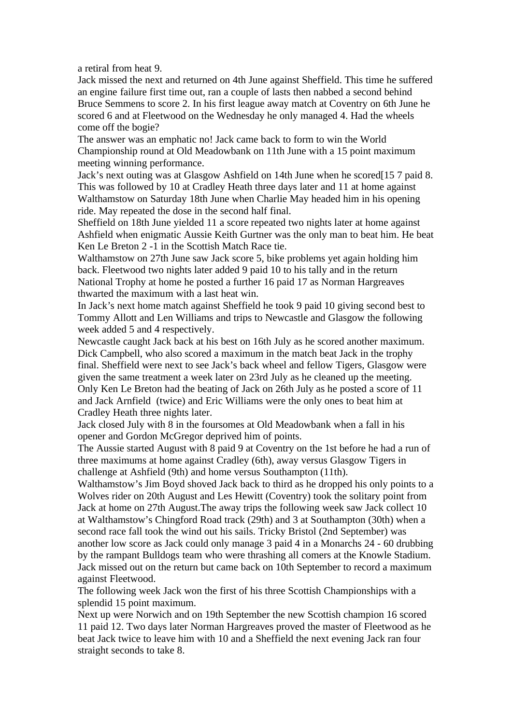a retiral from heat 9.

Jack missed the next and returned on 4th June against Sheffield. This time he suffered an engine failure first time out, ran a couple of lasts then nabbed a second behind Bruce Semmens to score 2. In his first league away match at Coventry on 6th June he scored 6 and at Fleetwood on the Wednesday he only managed 4. Had the wheels come off the bogie?

The answer was an emphatic no! Jack came back to form to win the World Championship round at Old Meadowbank on 11th June with a 15 point maximum meeting winning performance.

Jack's next outing was at Glasgow Ashfield on 14th June when he scored[15 7 paid 8. This was followed by 10 at Cradley Heath three days later and 11 at home against Walthamstow on Saturday 18th June when Charlie May headed him in his opening ride. May repeated the dose in the second half final.

Sheffield on 18th June yielded 11 a score repeated two nights later at home against Ashfield when enigmatic Aussie Keith Gurtner was the only man to beat him. He beat Ken Le Breton 2 -1 in the Scottish Match Race tie.

Walthamstow on 27th June saw Jack score 5, bike problems yet again holding him back. Fleetwood two nights later added 9 paid 10 to his tally and in the return National Trophy at home he posted a further 16 paid 17 as Norman Hargreaves thwarted the maximum with a last heat win.

In Jack's next home match against Sheffield he took 9 paid 10 giving second best to Tommy Allott and Len Williams and trips to Newcastle and Glasgow the following week added 5 and 4 respectively.

Newcastle caught Jack back at his best on 16th July as he scored another maximum. Dick Campbell, who also scored a maximum in the match beat Jack in the trophy final. Sheffield were next to see Jack's back wheel and fellow Tigers, Glasgow were given the same treatment a week later on 23rd July as he cleaned up the meeting. Only Ken Le Breton had the beating of Jack on 26th July as he posted a score of 11 and Jack Arnfield (twice) and Eric Williams were the only ones to beat him at Cradley Heath three nights later.

Jack closed July with 8 in the foursomes at Old Meadowbank when a fall in his opener and Gordon McGregor deprived him of points.

The Aussie started August with 8 paid 9 at Coventry on the 1st before he had a run of three maximums at home against Cradley (6th), away versus Glasgow Tigers in challenge at Ashfield (9th) and home versus Southampton (11th).

Walthamstow's Jim Boyd shoved Jack back to third as he dropped his only points to a Wolves rider on 20th August and Les Hewitt (Coventry) took the solitary point from Jack at home on 27th August.The away trips the following week saw Jack collect 10 at Walthamstow's Chingford Road track (29th) and 3 at Southampton (30th) when a second race fall took the wind out his sails. Tricky Bristol (2nd September) was another low score as Jack could only manage 3 paid 4 in a Monarchs 24 - 60 drubbing by the rampant Bulldogs team who were thrashing all comers at the Knowle Stadium. Jack missed out on the return but came back on 10th September to record a maximum against Fleetwood.

The following week Jack won the first of his three Scottish Championships with a splendid 15 point maximum.

Next up were Norwich and on 19th September the new Scottish champion 16 scored 11 paid 12. Two days later Norman Hargreaves proved the master of Fleetwood as he beat Jack twice to leave him with 10 and a Sheffield the next evening Jack ran four straight seconds to take 8.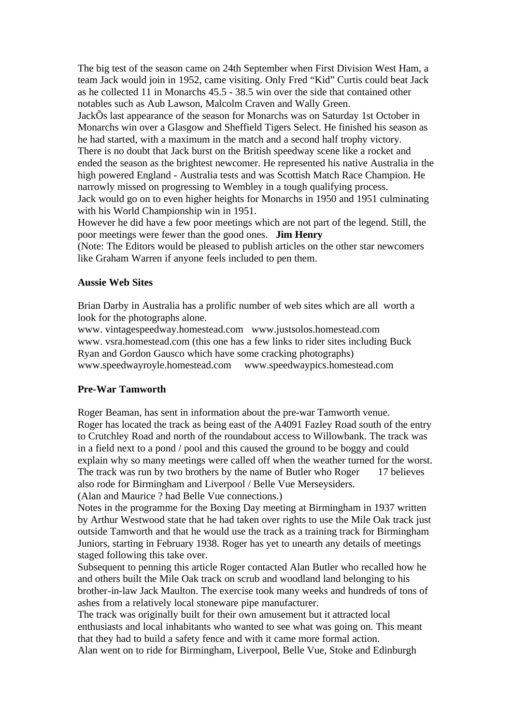The big test of the season came on 24th September when First Division West Ham, a team Jack would join in 1952, came visiting. Only Fred "Kid" Curtis could beat Jack as he collected 11 in Monarchs 45.5 - 38.5 win over the side that contained other notables such as Aub Lawson, Malcolm Craven and Wally Green.

JackÕs last appearance of the season for Monarchs was on Saturday 1st October in Monarchs win over a Glasgow and Sheffield Tigers Select. He finished his season as he had started, with a maximum in the match and a second half trophy victory. There is no doubt that Jack burst on the British speedway scene like a rocket and ended the season as the brightest newcomer. He represented his native Australia in the high powered England - Australia tests and was Scottish Match Race Champion. He narrowly missed on progressing to Wembley in a tough qualifying process. Jack would go on to even higher heights for Monarchs in 1950 and 1951 culminating with his World Championship win in 1951.

However he did have a few poor meetings which are not part of the legend. Still, the poor meetings were fewer than the good ones. **Jim Henry**

(Note: The Editors would be pleased to publish articles on the other star newcomers like Graham Warren if anyone feels included to pen them.

## **Aussie Web Sites**

Brian Darby in Australia has a prolific number of web sites which are all worth a look for the photographs alone.

www. vintagespeedway.homestead.com www.justsolos.homestead.com www. vsra.homestead.com (this one has a few links to rider sites including Buck Ryan and Gordon Gausco which have some cracking photographs) www.speedwayroyle.homestead.com www.speedwaypics.homestead.com

#### **Pre-War Tamworth**

Roger Beaman, has sent in information about the pre-war Tamworth venue. Roger has located the track as being east of the A4091 Fazley Road south of the entry to Crutchley Road and north of the roundabout access to Willowbank. The track was in a field next to a pond / pool and this caused the ground to be boggy and could explain why so many meetings were called off when the weather turned for the worst. The track was run by two brothers by the name of Butler who Roger 17 believes also rode for Birmingham and Liverpool / Belle Vue Merseysiders. (Alan and Maurice ? had Belle Vue connections.)

Notes in the programme for the Boxing Day meeting at Birmingham in 1937 written by Arthur Westwood state that he had taken over rights to use the Mile Oak track just outside Tamworth and that he would use the track as a training track for Birmingham Juniors, starting in February 1938. Roger has yet to unearth any details of meetings staged following this take over.

Subsequent to penning this article Roger contacted Alan Butler who recalled how he and others built the Mile Oak track on scrub and woodland land belonging to his brother-in-law Jack Maulton. The exercise took many weeks and hundreds of tons of ashes from a relatively local stoneware pipe manufacturer.

The track was originally built for their own amusement but it attracted local enthusiasts and local inhabitants who wanted to see what was going on. This meant that they had to build a safety fence and with it came more formal action.

Alan went on to ride for Birmingham, Liverpool, Belle Vue, Stoke and Edinburgh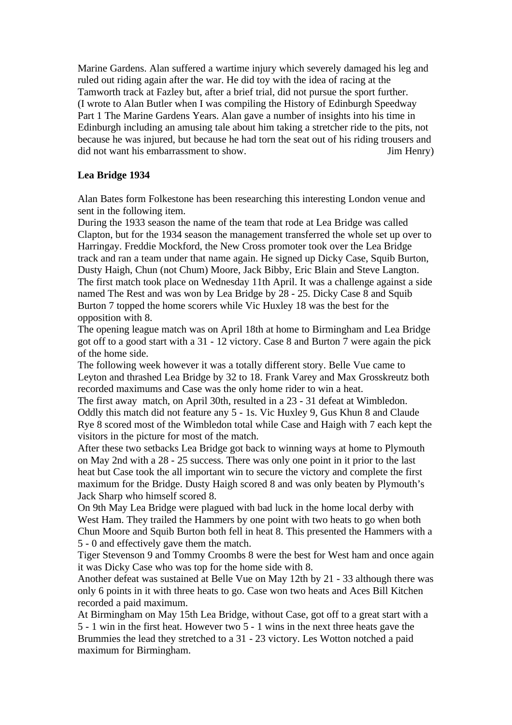Marine Gardens. Alan suffered a wartime injury which severely damaged his leg and ruled out riding again after the war. He did toy with the idea of racing at the Tamworth track at Fazley but, after a brief trial, did not pursue the sport further. (I wrote to Alan Butler when I was compiling the History of Edinburgh Speedway Part 1 The Marine Gardens Years. Alan gave a number of insights into his time in Edinburgh including an amusing tale about him taking a stretcher ride to the pits, not because he was injured, but because he had torn the seat out of his riding trousers and did not want his embarrassment to show. Jim Henry)

### **Lea Bridge 1934**

Alan Bates form Folkestone has been researching this interesting London venue and sent in the following item.

During the 1933 season the name of the team that rode at Lea Bridge was called Clapton, but for the 1934 season the management transferred the whole set up over to Harringay. Freddie Mockford, the New Cross promoter took over the Lea Bridge track and ran a team under that name again. He signed up Dicky Case, Squib Burton, Dusty Haigh, Chun (not Chum) Moore, Jack Bibby, Eric Blain and Steve Langton. The first match took place on Wednesday 11th April. It was a challenge against a side named The Rest and was won by Lea Bridge by 28 - 25. Dicky Case 8 and Squib Burton 7 topped the home scorers while Vic Huxley 18 was the best for the opposition with 8.

The opening league match was on April 18th at home to Birmingham and Lea Bridge got off to a good start with a 31 - 12 victory. Case 8 and Burton 7 were again the pick of the home side.

The following week however it was a totally different story. Belle Vue came to Leyton and thrashed Lea Bridge by 32 to 18. Frank Varey and Max Grosskreutz both recorded maximums and Case was the only home rider to win a heat.

The first away match, on April 30th, resulted in a 23 - 31 defeat at Wimbledon. Oddly this match did not feature any 5 - 1s. Vic Huxley 9, Gus Khun 8 and Claude Rye 8 scored most of the Wimbledon total while Case and Haigh with 7 each kept the visitors in the picture for most of the match.

After these two setbacks Lea Bridge got back to winning ways at home to Plymouth on May 2nd with a 28 - 25 success. There was only one point in it prior to the last heat but Case took the all important win to secure the victory and complete the first maximum for the Bridge. Dusty Haigh scored 8 and was only beaten by Plymouth's Jack Sharp who himself scored 8.

On 9th May Lea Bridge were plagued with bad luck in the home local derby with West Ham. They trailed the Hammers by one point with two heats to go when both Chun Moore and Squib Burton both fell in heat 8. This presented the Hammers with a 5 - 0 and effectively gave them the match.

Tiger Stevenson 9 and Tommy Croombs 8 were the best for West ham and once again it was Dicky Case who was top for the home side with 8.

Another defeat was sustained at Belle Vue on May 12th by 21 - 33 although there was only 6 points in it with three heats to go. Case won two heats and Aces Bill Kitchen recorded a paid maximum.

At Birmingham on May 15th Lea Bridge, without Case, got off to a great start with a 5 - 1 win in the first heat. However two 5 - 1 wins in the next three heats gave the Brummies the lead they stretched to a 31 - 23 victory. Les Wotton notched a paid maximum for Birmingham.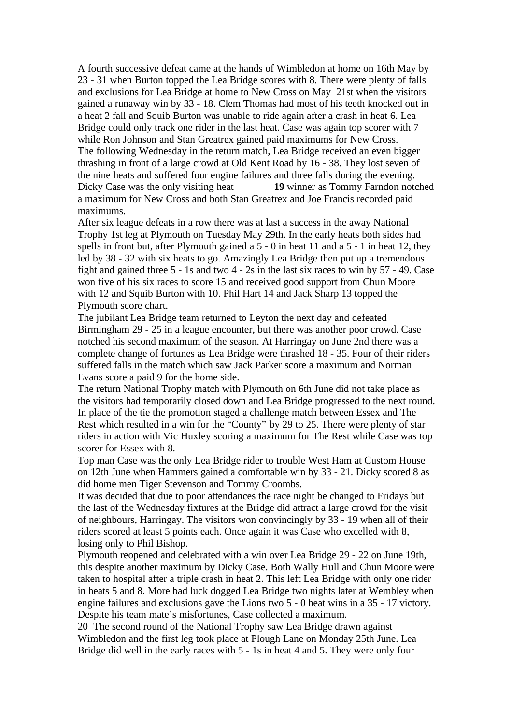A fourth successive defeat came at the hands of Wimbledon at home on 16th May by 23 - 31 when Burton topped the Lea Bridge scores with 8. There were plenty of falls and exclusions for Lea Bridge at home to New Cross on May 21st when the visitors gained a runaway win by 33 - 18. Clem Thomas had most of his teeth knocked out in a heat 2 fall and Squib Burton was unable to ride again after a crash in heat 6. Lea Bridge could only track one rider in the last heat. Case was again top scorer with 7 while Ron Johnson and Stan Greatrex gained paid maximums for New Cross. The following Wednesday in the return match, Lea Bridge received an even bigger thrashing in front of a large crowd at Old Kent Road by 16 - 38. They lost seven of the nine heats and suffered four engine failures and three falls during the evening. Dicky Case was the only visiting heat **19** winner as Tommy Farndon notched a maximum for New Cross and both Stan Greatrex and Joe Francis recorded paid maximums.

After six league defeats in a row there was at last a success in the away National Trophy 1st leg at Plymouth on Tuesday May 29th. In the early heats both sides had spells in front but, after Plymouth gained a 5 - 0 in heat 11 and a 5 - 1 in heat 12, they led by 38 - 32 with six heats to go. Amazingly Lea Bridge then put up a tremendous fight and gained three 5 - 1s and two 4 - 2s in the last six races to win by 57 - 49. Case won five of his six races to score 15 and received good support from Chun Moore with 12 and Squib Burton with 10. Phil Hart 14 and Jack Sharp 13 topped the Plymouth score chart.

The jubilant Lea Bridge team returned to Leyton the next day and defeated Birmingham 29 - 25 in a league encounter, but there was another poor crowd. Case notched his second maximum of the season. At Harringay on June 2nd there was a complete change of fortunes as Lea Bridge were thrashed 18 - 35. Four of their riders suffered falls in the match which saw Jack Parker score a maximum and Norman Evans score a paid 9 for the home side.

The return National Trophy match with Plymouth on 6th June did not take place as the visitors had temporarily closed down and Lea Bridge progressed to the next round. In place of the tie the promotion staged a challenge match between Essex and The Rest which resulted in a win for the "County" by 29 to 25. There were plenty of star riders in action with Vic Huxley scoring a maximum for The Rest while Case was top scorer for Essex with 8.

Top man Case was the only Lea Bridge rider to trouble West Ham at Custom House on 12th June when Hammers gained a comfortable win by 33 - 21. Dicky scored 8 as did home men Tiger Stevenson and Tommy Croombs.

It was decided that due to poor attendances the race night be changed to Fridays but the last of the Wednesday fixtures at the Bridge did attract a large crowd for the visit of neighbours, Harringay. The visitors won convincingly by 33 - 19 when all of their riders scored at least 5 points each. Once again it was Case who excelled with 8, losing only to Phil Bishop.

Plymouth reopened and celebrated with a win over Lea Bridge 29 - 22 on June 19th, this despite another maximum by Dicky Case. Both Wally Hull and Chun Moore were taken to hospital after a triple crash in heat 2. This left Lea Bridge with only one rider in heats 5 and 8. More bad luck dogged Lea Bridge two nights later at Wembley when engine failures and exclusions gave the Lions two 5 - 0 heat wins in a 35 - 17 victory. Despite his team mate's misfortunes, Case collected a maximum.

20 The second round of the National Trophy saw Lea Bridge drawn against Wimbledon and the first leg took place at Plough Lane on Monday 25th June. Lea Bridge did well in the early races with 5 - 1s in heat 4 and 5. They were only four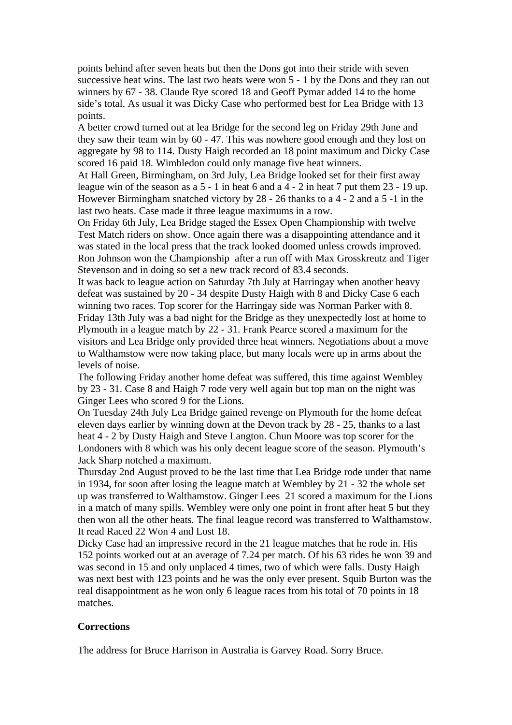points behind after seven heats but then the Dons got into their stride with seven successive heat wins. The last two heats were won 5 - 1 by the Dons and they ran out winners by 67 - 38. Claude Rye scored 18 and Geoff Pymar added 14 to the home side's total. As usual it was Dicky Case who performed best for Lea Bridge with 13 points.

A better crowd turned out at lea Bridge for the second leg on Friday 29th June and they saw their team win by 60 - 47. This was nowhere good enough and they lost on aggregate by 98 to 114. Dusty Haigh recorded an 18 point maximum and Dicky Case scored 16 paid 18. Wimbledon could only manage five heat winners.

At Hall Green, Birmingham, on 3rd July, Lea Bridge looked set for their first away league win of the season as a 5 - 1 in heat 6 and a 4 - 2 in heat 7 put them 23 - 19 up. However Birmingham snatched victory by 28 - 26 thanks to a 4 - 2 and a 5 -1 in the last two heats. Case made it three league maximums in a row.

On Friday 6th July, Lea Bridge staged the Essex Open Championship with twelve Test Match riders on show. Once again there was a disappointing attendance and it was stated in the local press that the track looked doomed unless crowds improved. Ron Johnson won the Championship after a run off with Max Grosskreutz and Tiger Stevenson and in doing so set a new track record of 83.4 seconds.

It was back to league action on Saturday 7th July at Harringay when another heavy defeat was sustained by 20 - 34 despite Dusty Haigh with 8 and Dicky Case 6 each winning two races. Top scorer for the Harringay side was Norman Parker with 8. Friday 13th July was a bad night for the Bridge as they unexpectedly lost at home to Plymouth in a league match by 22 - 31. Frank Pearce scored a maximum for the visitors and Lea Bridge only provided three heat winners. Negotiations about a move to Walthamstow were now taking place, but many locals were up in arms about the levels of noise.

The following Friday another home defeat was suffered, this time against Wembley by 23 - 31. Case 8 and Haigh 7 rode very well again but top man on the night was Ginger Lees who scored 9 for the Lions.

On Tuesday 24th July Lea Bridge gained revenge on Plymouth for the home defeat eleven days earlier by winning down at the Devon track by 28 - 25, thanks to a last heat 4 - 2 by Dusty Haigh and Steve Langton. Chun Moore was top scorer for the Londoners with 8 which was his only decent league score of the season. Plymouth's Jack Sharp notched a maximum.

Thursday 2nd August proved to be the last time that Lea Bridge rode under that name in 1934, for soon after losing the league match at Wembley by 21 - 32 the whole set up was transferred to Walthamstow. Ginger Lees 21 scored a maximum for the Lions in a match of many spills. Wembley were only one point in front after heat 5 but they then won all the other heats. The final league record was transferred to Walthamstow. It read Raced 22 Won 4 and Lost 18.

Dicky Case had an impressive record in the 21 league matches that he rode in. His 152 points worked out at an average of 7.24 per match. Of his 63 rides he won 39 and was second in 15 and only unplaced 4 times, two of which were falls. Dusty Haigh was next best with 123 points and he was the only ever present. Squib Burton was the real disappointment as he won only 6 league races from his total of 70 points in 18 matches.

#### **Corrections**

The address for Bruce Harrison in Australia is Garvey Road. Sorry Bruce.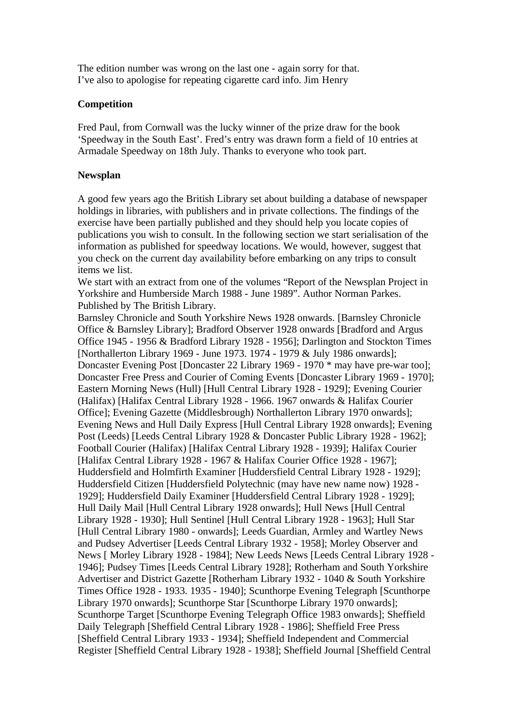The edition number was wrong on the last one - again sorry for that. I've also to apologise for repeating cigarette card info. Jim Henry

## **Competition**

Fred Paul, from Cornwall was the lucky winner of the prize draw for the book 'Speedway in the South East'. Fred's entry was drawn form a field of 10 entries at Armadale Speedway on 18th July. Thanks to everyone who took part.

## **Newsplan**

A good few years ago the British Library set about building a database of newspaper holdings in libraries, with publishers and in private collections. The findings of the exercise have been partially published and they should help you locate copies of publications you wish to consult. In the following section we start serialisation of the information as published for speedway locations. We would, however, suggest that you check on the current day availability before embarking on any trips to consult items we list.

We start with an extract from one of the volumes "Report of the Newsplan Project in Yorkshire and Humberside March 1988 - June 1989". Author Norman Parkes. Published by The British Library.

Barnsley Chronicle and South Yorkshire News 1928 onwards. [Barnsley Chronicle Office & Barnsley Library]; Bradford Observer 1928 onwards [Bradford and Argus Office 1945 - 1956 & Bradford Library 1928 - 1956]; Darlington and Stockton Times [Northallerton Library 1969 - June 1973. 1974 - 1979 & July 1986 onwards]; Doncaster Evening Post [Doncaster 22 Library 1969 - 1970 \* may have pre-war too]; Doncaster Free Press and Courier of Coming Events [Doncaster Library 1969 - 1970]; Eastern Morning News (Hull) [Hull Central Library 1928 - 1929]; Evening Courier (Halifax) [Halifax Central Library 1928 - 1966. 1967 onwards & Halifax Courier Office]; Evening Gazette (Middlesbrough) Northallerton Library 1970 onwards]; Evening News and Hull Daily Express [Hull Central Library 1928 onwards]; Evening Post (Leeds) [Leeds Central Library 1928 & Doncaster Public Library 1928 - 1962]; Football Courier (Halifax) [Halifax Central Library 1928 - 1939]; Halifax Courier [Halifax Central Library 1928 - 1967 & Halifax Courier Office 1928 - 1967]; Huddersfield and Holmfirth Examiner [Huddersfield Central Library 1928 - 1929]; Huddersfield Citizen [Huddersfield Polytechnic (may have new name now) 1928 - 1929]; Huddersfield Daily Examiner [Huddersfield Central Library 1928 - 1929]; Hull Daily Mail [Hull Central Library 1928 onwards]; Hull News [Hull Central Library 1928 - 1930]; Hull Sentinel [Hull Central Library 1928 - 1963]; Hull Star [Hull Central Library 1980 - onwards]; Leeds Guardian, Armley and Wartley News and Pudsey Advertiser [Leeds Central Library 1932 - 1958]; Morley Observer and News [ Morley Library 1928 - 1984]; New Leeds News [Leeds Central Library 1928 - 1946]; Pudsey Times [Leeds Central Library 1928]; Rotherham and South Yorkshire Advertiser and District Gazette [Rotherham Library 1932 - 1040 & South Yorkshire Times Office 1928 - 1933. 1935 - 1940]; Scunthorpe Evening Telegraph [Scunthorpe Library 1970 onwards]; Scunthorpe Star [Scunthorpe Library 1970 onwards]; Scunthorpe Target [Scunthorpe Evening Telegraph Office 1983 onwards]; Sheffield Daily Telegraph [Sheffield Central Library 1928 - 1986]; Sheffield Free Press [Sheffield Central Library 1933 - 1934]; Sheffield Independent and Commercial Register [Sheffield Central Library 1928 - 1938]; Sheffield Journal [Sheffield Central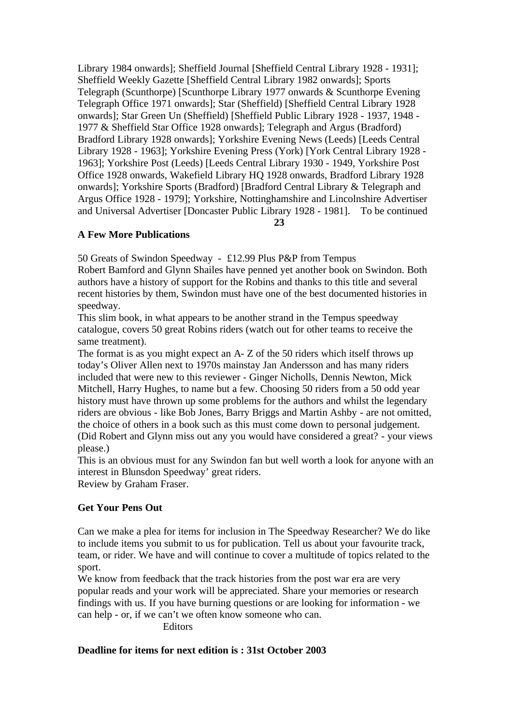Library 1984 onwards]; Sheffield Journal [Sheffield Central Library 1928 - 1931]; Sheffield Weekly Gazette [Sheffield Central Library 1982 onwards]; Sports Telegraph (Scunthorpe) [Scunthorpe Library 1977 onwards & Scunthorpe Evening Telegraph Office 1971 onwards]; Star (Sheffield) [Sheffield Central Library 1928 onwards]; Star Green Un (Sheffield) [Sheffield Public Library 1928 - 1937, 1948 - 1977 & Sheffield Star Office 1928 onwards]; Telegraph and Argus (Bradford) Bradford Library 1928 onwards]; Yorkshire Evening News (Leeds) [Leeds Central Library 1928 - 1963]; Yorkshire Evening Press (York) [York Central Library 1928 - 1963]; Yorkshire Post (Leeds) [Leeds Central Library 1930 - 1949, Yorkshire Post Office 1928 onwards, Wakefield Library HQ 1928 onwards, Bradford Library 1928 onwards]; Yorkshire Sports (Bradford) [Bradford Central Library & Telegraph and Argus Office 1928 - 1979]; Yorkshire, Nottinghamshire and Lincolnshire Advertiser and Universal Advertiser [Doncaster Public Library 1928 - 1981]. To be continued

 **23**

## **A Few More Publications**

50 Greats of Swindon Speedway - £12.99 Plus P&P from Tempus

Robert Bamford and Glynn Shailes have penned yet another book on Swindon. Both authors have a history of support for the Robins and thanks to this title and several recent histories by them, Swindon must have one of the best documented histories in speedway.

This slim book, in what appears to be another strand in the Tempus speedway catalogue, covers 50 great Robins riders (watch out for other teams to receive the same treatment).

The format is as you might expect an A- Z of the 50 riders which itself throws up today's Oliver Allen next to 1970s mainstay Jan Andersson and has many riders included that were new to this reviewer - Ginger Nicholls, Dennis Newton, Mick Mitchell, Harry Hughes, to name but a few. Choosing 50 riders from a 50 odd year history must have thrown up some problems for the authors and whilst the legendary riders are obvious - like Bob Jones, Barry Briggs and Martin Ashby - are not omitted, the choice of others in a book such as this must come down to personal judgement. (Did Robert and Glynn miss out any you would have considered a great? - your views please.)

This is an obvious must for any Swindon fan but well worth a look for anyone with an interest in Blunsdon Speedway' great riders.

Review by Graham Fraser.

# **Get Your Pens Out**

Can we make a plea for items for inclusion in The Speedway Researcher? We do like to include items you submit to us for publication. Tell us about your favourite track, team, or rider. We have and will continue to cover a multitude of topics related to the sport.

We know from feedback that the track histories from the post war era are very popular reads and your work will be appreciated. Share your memories or research findings with us. If you have burning questions or are looking for information - we can help - or, if we can't we often know someone who can.

**Editors** 

# **Deadline for items for next edition is : 31st October 2003**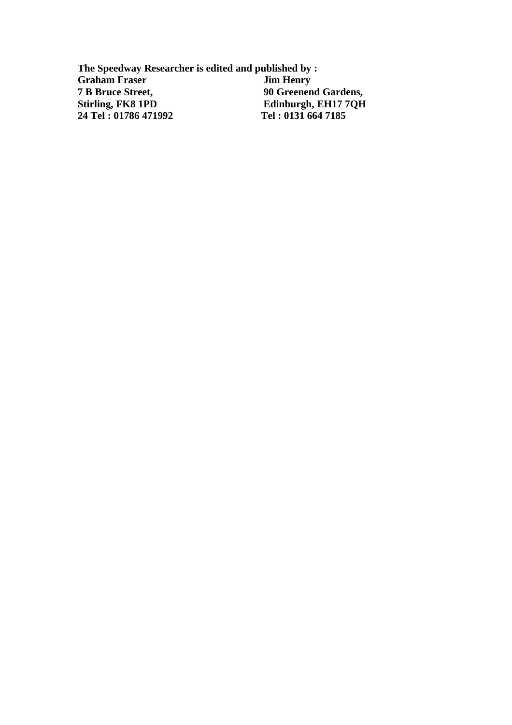**The Speedway Researcher is edited and published by : Graham Fraser**<br>**7 B Bruce Street, 7 B Bruce Street, 90 Greenend Gardens, Edinburgh, EH17 7QH**<br>Tel: 0131 664 7185 **24 Tel : 01786 471992 Tel : 0131 664 7185**